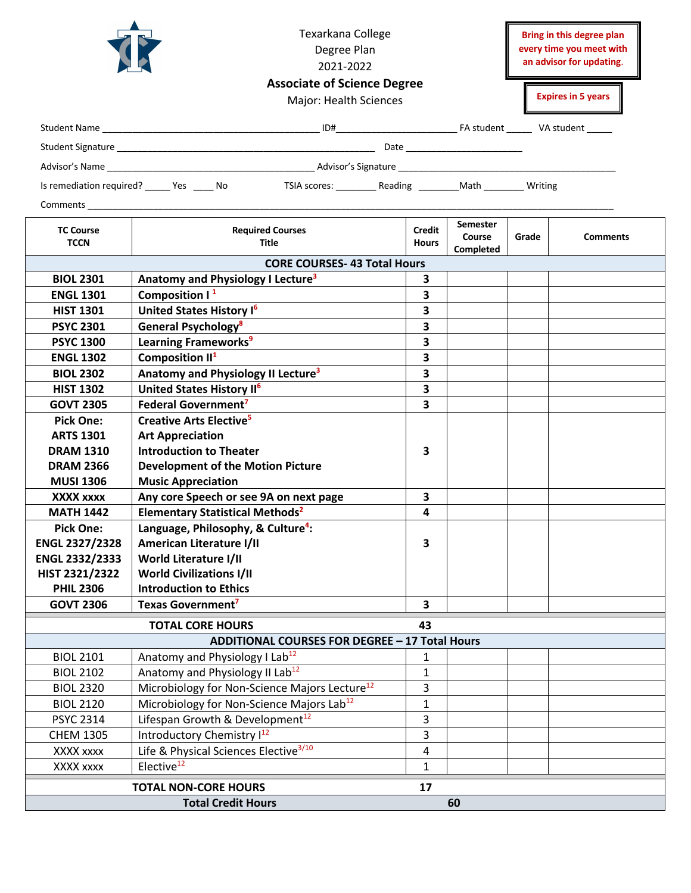

Texarkana College Degree Plan 2021-2022

**Bring in this degree plan every time you meet with an advisor for updating**.

|                                                                                                | Major: Health Sciences                                    | <b>Expires in 5 years</b> |                     |       |                 |  |  |  |  |  |
|------------------------------------------------------------------------------------------------|-----------------------------------------------------------|---------------------------|---------------------|-------|-----------------|--|--|--|--|--|
|                                                                                                |                                                           |                           |                     |       |                 |  |  |  |  |  |
|                                                                                                |                                                           |                           |                     |       |                 |  |  |  |  |  |
|                                                                                                |                                                           |                           |                     |       |                 |  |  |  |  |  |
| Is remediation required? _______ Yes _______ No                                                |                                                           |                           |                     |       |                 |  |  |  |  |  |
| TSIA scores: ___________ Reading __________ Math _________ Writing<br><b>Comments Comments</b> |                                                           |                           |                     |       |                 |  |  |  |  |  |
|                                                                                                |                                                           | Credit                    | <b>Semester</b>     |       |                 |  |  |  |  |  |
| <b>TC Course</b><br><b>TCCN</b>                                                                | <b>Required Courses</b><br><b>Title</b>                   | <b>Hours</b>              | Course<br>Completed | Grade | <b>Comments</b> |  |  |  |  |  |
| <b>CORE COURSES-43 Total Hours</b>                                                             |                                                           |                           |                     |       |                 |  |  |  |  |  |
| <b>BIOL 2301</b>                                                                               | Anatomy and Physiology I Lecture <sup>3</sup>             | 3                         |                     |       |                 |  |  |  |  |  |
| <b>ENGL 1301</b>                                                                               | Composition $1^1$                                         | 3                         |                     |       |                 |  |  |  |  |  |
| <b>HIST 1301</b>                                                                               | United States History I <sup>6</sup>                      | $\overline{\mathbf{3}}$   |                     |       |                 |  |  |  |  |  |
| <b>PSYC 2301</b>                                                                               | <b>General Psychology<sup>8</sup></b>                     | $\overline{\mathbf{3}}$   |                     |       |                 |  |  |  |  |  |
| <b>PSYC 1300</b>                                                                               | Learning Frameworks <sup>9</sup>                          | 3                         |                     |       |                 |  |  |  |  |  |
| <b>ENGL 1302</b>                                                                               | Composition II <sup>1</sup>                               | $\overline{\mathbf{3}}$   |                     |       |                 |  |  |  |  |  |
| <b>BIOL 2302</b>                                                                               | Anatomy and Physiology II Lecture <sup>3</sup>            | $\overline{\mathbf{3}}$   |                     |       |                 |  |  |  |  |  |
| <b>HIST 1302</b>                                                                               | United States History II <sup>6</sup>                     | 3                         |                     |       |                 |  |  |  |  |  |
| <b>GOVT 2305</b>                                                                               | Federal Government <sup>7</sup>                           | $\overline{\mathbf{3}}$   |                     |       |                 |  |  |  |  |  |
| <b>Pick One:</b>                                                                               | <b>Creative Arts Elective<sup>5</sup></b>                 |                           |                     |       |                 |  |  |  |  |  |
| <b>ARTS 1301</b>                                                                               | <b>Art Appreciation</b>                                   |                           |                     |       |                 |  |  |  |  |  |
| <b>DRAM 1310</b>                                                                               | <b>Introduction to Theater</b>                            | 3                         |                     |       |                 |  |  |  |  |  |
| <b>DRAM 2366</b>                                                                               | <b>Development of the Motion Picture</b>                  |                           |                     |       |                 |  |  |  |  |  |
| <b>MUSI 1306</b>                                                                               | <b>Music Appreciation</b>                                 |                           |                     |       |                 |  |  |  |  |  |
| XXXX xxxx                                                                                      | Any core Speech or see 9A on next page                    | 3                         |                     |       |                 |  |  |  |  |  |
| <b>MATH 1442</b>                                                                               | <b>Elementary Statistical Methods<sup>2</sup></b>         | 4                         |                     |       |                 |  |  |  |  |  |
| <b>Pick One:</b>                                                                               | Language, Philosophy, & Culture <sup>4</sup> :            |                           |                     |       |                 |  |  |  |  |  |
| <b>ENGL 2327/2328</b>                                                                          | <b>American Literature I/II</b>                           | 3                         |                     |       |                 |  |  |  |  |  |
| <b>ENGL 2332/2333</b>                                                                          | World Literature I/II                                     |                           |                     |       |                 |  |  |  |  |  |
| HIST 2321/2322                                                                                 | <b>World Civilizations I/II</b>                           |                           |                     |       |                 |  |  |  |  |  |
| <b>PHIL 2306</b>                                                                               | <b>Introduction to Ethics</b>                             |                           |                     |       |                 |  |  |  |  |  |
| <b>GOVT 2306</b>                                                                               | Texas Government <sup>7</sup>                             | $\overline{\mathbf{3}}$   |                     |       |                 |  |  |  |  |  |
| <b>TOTAL CORE HOURS</b><br>43                                                                  |                                                           |                           |                     |       |                 |  |  |  |  |  |
| ADDITIONAL COURSES FOR DEGREE - 17 Total Hours                                                 |                                                           |                           |                     |       |                 |  |  |  |  |  |
| <b>BIOL 2101</b>                                                                               | Anatomy and Physiology I Lab <sup>12</sup>                | 1                         |                     |       |                 |  |  |  |  |  |
| <b>BIOL 2102</b>                                                                               | Anatomy and Physiology II Lab <sup>12</sup>               | 1                         |                     |       |                 |  |  |  |  |  |
| <b>BIOL 2320</b>                                                                               | Microbiology for Non-Science Majors Lecture <sup>12</sup> | 3                         |                     |       |                 |  |  |  |  |  |
| <b>BIOL 2120</b>                                                                               | Microbiology for Non-Science Majors Lab <sup>12</sup>     | $\mathbf{1}$              |                     |       |                 |  |  |  |  |  |
| <b>PSYC 2314</b>                                                                               | Lifespan Growth & Development <sup>12</sup>               | 3                         |                     |       |                 |  |  |  |  |  |
| <b>CHEM 1305</b>                                                                               | Introductory Chemistry I <sup>12</sup>                    | 3                         |                     |       |                 |  |  |  |  |  |
| XXXX xxxx                                                                                      | Life & Physical Sciences Elective <sup>3/10</sup>         | 4                         |                     |       |                 |  |  |  |  |  |
| XXXX xxxx                                                                                      | Elective <sup>12</sup>                                    | 1                         |                     |       |                 |  |  |  |  |  |
|                                                                                                | <b>TOTAL NON-CORE HOURS</b>                               | 17                        |                     |       |                 |  |  |  |  |  |
| <b>Total Credit Hours</b><br>60                                                                |                                                           |                           |                     |       |                 |  |  |  |  |  |